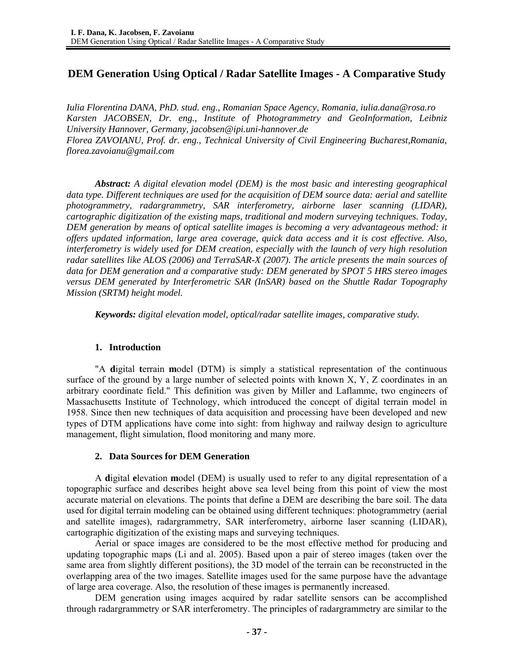# **DEM Generation Using Optical / Radar Satellite Images - A Comparative Study**

*Iulia Florentina DANA, PhD. stud. eng., Romanian Space Agency, Romania, iulia.dana@rosa.ro Karsten JACOBSEN, Dr. eng., Institute of Photogrammetry and GeoInformation, Leibniz University Hannover, Germany, jacobsen@ipi.uni-hannover.de Florea ZAVOIANU, Prof. dr. eng., Technical University of Civil Engineering Bucharest,Romania, florea.zavoianu@gmail.com* 

*Abstract: A digital elevation model (DEM) is the most basic and interesting geographical data type. Different techniques are used for the acquisition of DEM source data: aerial and satellite photogrammetry, radargrammetry, SAR interferometry, airborne laser scanning (LIDAR), cartographic digitization of the existing maps, traditional and modern surveying techniques. Today, DEM generation by means of optical satellite images is becoming a very advantageous method: it offers updated information, large area coverage, quick data access and it is cost effective. Also, interferometry is widely used for DEM creation, especially with the launch of very high resolution radar satellites like ALOS (2006) and TerraSAR-X (2007). The article presents the main sources of data for DEM generation and a comparative study: DEM generated by SPOT 5 HRS stereo images versus DEM generated by Interferometric SAR (InSAR) based on the Shuttle Radar Topography Mission (SRTM) height model.* 

*Keywords: digital elevation model, optical/radar satellite images, comparative study.* 

#### **1. Introduction**

"A **d**igital **t**errain **m**odel (DTM) is simply a statistical representation of the continuous surface of the ground by a large number of selected points with known  $X, Y, Z$  coordinates in an arbitrary coordinate field." This definition was given by Miller and Laflamme, two engineers of Massachusetts Institute of Technology, which introduced the concept of digital terrain model in 1958. Since then new techniques of data acquisition and processing have been developed and new types of DTM applications have come into sight: from highway and railway design to agriculture management, flight simulation, flood monitoring and many more.

#### **2. Data Sources for DEM Generation**

A **d**igital **e**levation **m**odel (DEM) is usually used to refer to any digital representation of a topographic surface and describes height above sea level being from this point of view the most accurate material on elevations. The points that define a DEM are describing the bare soil. The data used for digital terrain modeling can be obtained using different techniques: photogrammetry (aerial and satellite images), radargrammetry, SAR interferometry, airborne laser scanning (LIDAR), cartographic digitization of the existing maps and surveying techniques.

Aerial or space images are considered to be the most effective method for producing and updating topographic maps (Li and al. 2005). Based upon a pair of stereo images (taken over the same area from slightly different positions), the 3D model of the terrain can be reconstructed in the overlapping area of the two images. Satellite images used for the same purpose have the advantage of large area coverage. Also, the resolution of these images is permanently increased.

DEM generation using images acquired by radar satellite sensors can be accomplished through radargrammetry or SAR interferometry. The principles of radargrammetry are similar to the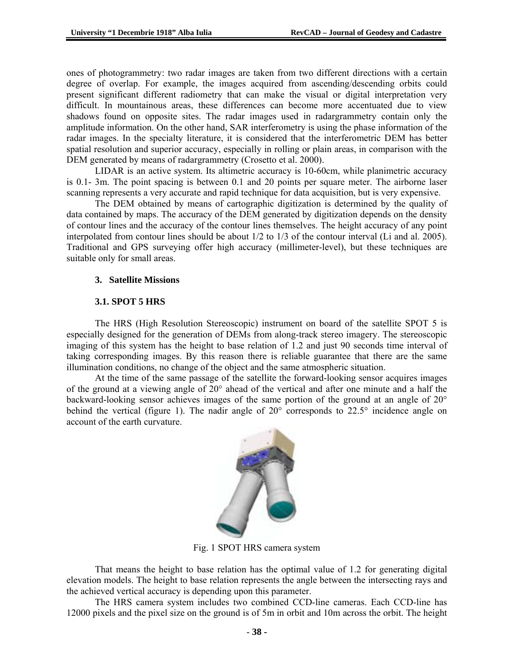ones of photogrammetry: two radar images are taken from two different directions with a certain degree of overlap. For example, the images acquired from ascending/descending orbits could present significant different radiometry that can make the visual or digital interpretation very difficult. In mountainous areas, these differences can become more accentuated due to view shadows found on opposite sites. The radar images used in radargrammetry contain only the amplitude information. On the other hand, SAR interferometry is using the phase information of the radar images. In the specialty literature, it is considered that the interferometric DEM has better spatial resolution and superior accuracy, especially in rolling or plain areas, in comparison with the DEM generated by means of radargrammetry (Crosetto et al. 2000).

LIDAR is an active system. Its altimetric accuracy is 10-60cm, while planimetric accuracy is 0.1- 3m. The point spacing is between 0.1 and 20 points per square meter. The airborne laser scanning represents a very accurate and rapid technique for data acquisition, but is very expensive.

The DEM obtained by means of cartographic digitization is determined by the quality of data contained by maps. The accuracy of the DEM generated by digitization depends on the density of contour lines and the accuracy of the contour lines themselves. The height accuracy of any point interpolated from contour lines should be about 1/2 to 1/3 of the contour interval (Li and al. 2005). Traditional and GPS surveying offer high accuracy (millimeter-level), but these techniques are suitable only for small areas.

## **3. Satellite Missions**

#### **3.1. SPOT 5 HRS**

The HRS (High Resolution Stereoscopic) instrument on board of the satellite SPOT 5 is especially designed for the generation of DEMs from along-track stereo imagery. The stereoscopic imaging of this system has the height to base relation of 1.2 and just 90 seconds time interval of taking corresponding images. By this reason there is reliable guarantee that there are the same illumination conditions, no change of the object and the same atmospheric situation.

At the time of the same passage of the satellite the forward-looking sensor acquires images of the ground at a viewing angle of 20° ahead of the vertical and after one minute and a half the backward-looking sensor achieves images of the same portion of the ground at an angle of 20° behind the vertical (figure 1). The nadir angle of 20° corresponds to 22.5° incidence angle on account of the earth curvature.



Fig. 1 SPOT HRS camera system

That means the height to base relation has the optimal value of 1.2 for generating digital elevation models. The height to base relation represents the angle between the intersecting rays and the achieved vertical accuracy is depending upon this parameter.

The HRS camera system includes two combined CCD-line cameras. Each CCD-line has 12000 pixels and the pixel size on the ground is of 5m in orbit and 10m across the orbit. The height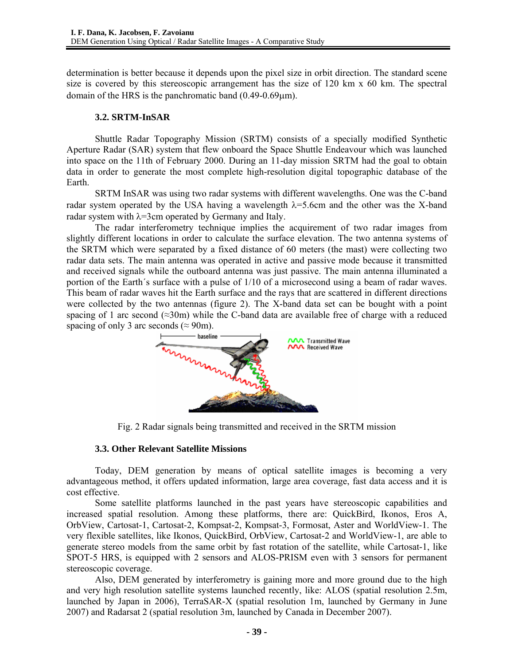determination is better because it depends upon the pixel size in orbit direction. The standard scene size is covered by this stereoscopic arrangement has the size of  $120 \text{ km } x$  60 km. The spectral domain of the HRS is the panchromatic band  $(0.49-0.69\mu m)$ .

## **3.2. SRTM-InSAR**

Shuttle Radar Topography Mission (SRTM) consists of a specially modified Synthetic Aperture Radar (SAR) system that flew onboard the Space Shuttle Endeavour which was launched into space on the 11th of February 2000. During an 11-day mission SRTM had the goal to obtain data in order to generate the most complete high-resolution digital topographic database of the Earth.

SRTM InSAR was using two radar systems with different wavelengths. One was the C-band radar system operated by the USA having a wavelength  $\lambda$ =5.6cm and the other was the X-band radar system with  $\lambda$ =3cm operated by Germany and Italy.

The radar interferometry technique implies the acquirement of two radar images from slightly different locations in order to calculate the surface elevation. The two antenna systems of the SRTM which were separated by a fixed distance of 60 meters (the mast) were collecting two radar data sets. The main antenna was operated in active and passive mode because it transmitted and received signals while the outboard antenna was just passive. The main antenna illuminated a portion of the Earth´s surface with a pulse of 1/10 of a microsecond using a beam of radar waves. This beam of radar waves hit the Earth surface and the rays that are scattered in different directions were collected by the two antennas (figure 2). The X-band data set can be bought with a point spacing of 1 arc second ( $\approx$ 30m) while the C-band data are available free of charge with a reduced spacing of only 3 arc seconds ( $\approx$  90m).



Fig. 2 Radar signals being transmitted and received in the SRTM mission

# **3.3. Other Relevant Satellite Missions**

Today, DEM generation by means of optical satellite images is becoming a very advantageous method, it offers updated information, large area coverage, fast data access and it is cost effective.

Some satellite platforms launched in the past years have stereoscopic capabilities and increased spatial resolution. Among these platforms, there are: QuickBird, Ikonos, Eros A, OrbView, Cartosat-1, Cartosat-2, Kompsat-2, Kompsat-3, Formosat, Aster and WorldView-1. The very flexible satellites, like Ikonos, QuickBird, OrbView, Cartosat-2 and WorldView-1, are able to generate stereo models from the same orbit by fast rotation of the satellite, while Cartosat-1, like SPOT-5 HRS, is equipped with 2 sensors and ALOS-PRISM even with 3 sensors for permanent stereoscopic coverage.

Also, DEM generated by interferometry is gaining more and more ground due to the high and very high resolution satellite systems launched recently, like: ALOS (spatial resolution 2.5m, launched by Japan in 2006), TerraSAR-X (spatial resolution 1m, launched by Germany in June 2007) and Radarsat 2 (spatial resolution 3m, launched by Canada in December 2007).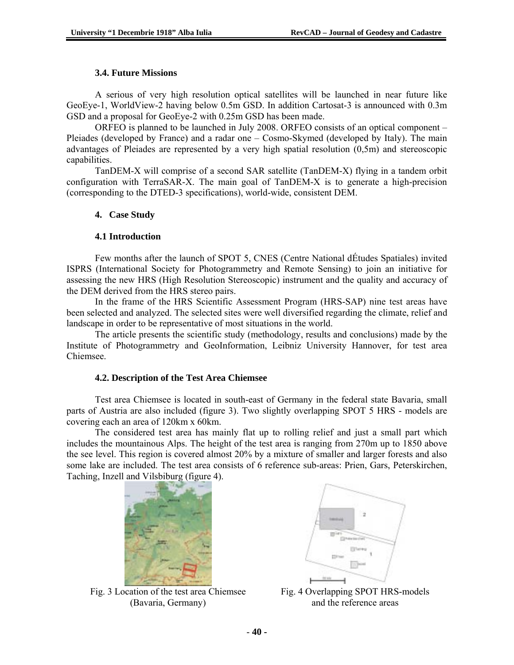## **3.4. Future Missions**

A serious of very high resolution optical satellites will be launched in near future like GeoEye-1, WorldView-2 having below 0.5m GSD. In addition Cartosat-3 is announced with 0.3m GSD and a proposal for GeoEye-2 with 0.25m GSD has been made.

ORFEO is planned to be launched in July 2008. ORFEO consists of an optical component – Pleiades (developed by France) and a radar one – Cosmo-Skymed (developed by Italy). The main advantages of Pleiades are represented by a very high spatial resolution (0,5m) and stereoscopic capabilities.

TanDEM-X will comprise of a second SAR satellite (TanDEM-X) flying in a tandem orbit configuration with TerraSAR-X. The main goal of TanDEM-X is to generate a high-precision (corresponding to the DTED-3 specifications), world-wide, consistent DEM.

## **4. Case Study**

## **4.1 Introduction**

Few months after the launch of SPOT 5, CNES (Centre National dÉtudes Spatiales) invited ISPRS (International Society for Photogrammetry and Remote Sensing) to join an initiative for assessing the new HRS (High Resolution Stereoscopic) instrument and the quality and accuracy of the DEM derived from the HRS stereo pairs.

In the frame of the HRS Scientific Assessment Program (HRS-SAP) nine test areas have been selected and analyzed. The selected sites were well diversified regarding the climate, relief and landscape in order to be representative of most situations in the world.

The article presents the scientific study (methodology, results and conclusions) made by the Institute of Photogrammetry and GeoInformation, Leibniz University Hannover, for test area Chiemsee.

# **4.2. Description of the Test Area Chiemsee**

Test area Chiemsee is located in south-east of Germany in the federal state Bavaria, small parts of Austria are also included (figure 3). Two slightly overlapping SPOT 5 HRS - models are covering each an area of 120km x 60km.

The considered test area has mainly flat up to rolling relief and just a small part which includes the mountainous Alps. The height of the test area is ranging from 270m up to 1850 above the see level. This region is covered almost 20% by a mixture of smaller and larger forests and also some lake are included. The test area consists of 6 reference sub-areas: Prien, Gars, Peterskirchen, Taching, Inzell and Vilsbiburg (figure 4).



Fig. 3 Location of the test area Chiemsee (Bavaria, Germany)



Fig. 4 Overlapping SPOT HRS-models and the reference areas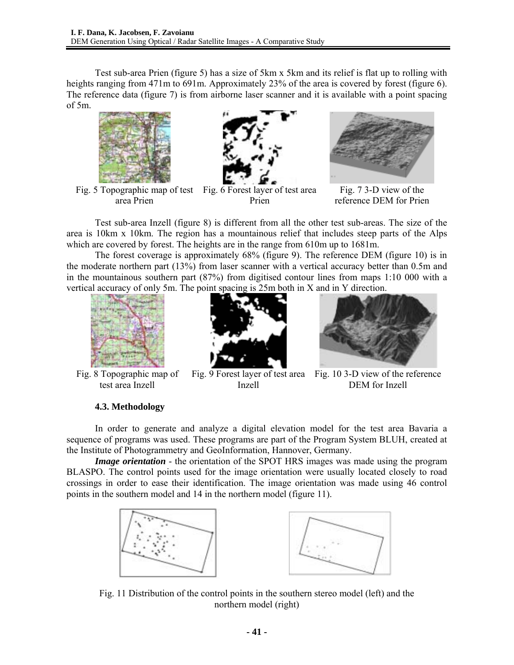Test sub-area Prien (figure 5) has a size of 5km x 5km and its relief is flat up to rolling with heights ranging from 471m to 691m. Approximately 23% of the area is covered by forest (figure 6). The reference data (figure 7) is from airborne laser scanner and it is available with a point spacing of 5m.



Fig. 5 Topographic map of test Fig. 6 Forest layer of test area area Prien



Prien



Fig. 7 3-D view of the reference DEM for Prien

Test sub-area Inzell (figure 8) is different from all the other test sub-areas. The size of the area is 10km x 10km. The region has a mountainous relief that includes steep parts of the Alps which are covered by forest. The heights are in the range from 610m up to 1681m.

The forest coverage is approximately 68% (figure 9). The reference DEM (figure 10) is in the moderate northern part (13%) from laser scanner with a vertical accuracy better than 0.5m and in the mountainous southern part (87%) from digitised contour lines from maps 1:10 000 with a vertical accuracy of only 5m. The point spacing is 25m both in X and in Y direction.



Fig. 8 Topographic map of test area Inzell

# **4.3. Methodology**



Inzell



Fig. 9 Forest layer of test area Fig. 10 3-D view of the reference DEM for Inzell

In order to generate and analyze a digital elevation model for the test area Bavaria a sequence of programs was used. These programs are part of the Program System BLUH, created at the Institute of Photogrammetry and GeoInformation, Hannover, Germany.

*Image orientation* - the orientation of the SPOT HRS images was made using the program BLASPO. The control points used for the image orientation were usually located closely to road crossings in order to ease their identification. The image orientation was made using 46 control points in the southern model and 14 in the northern model (figure 11).



Fig. 11 Distribution of the control points in the southern stereo model (left) and the northern model (right)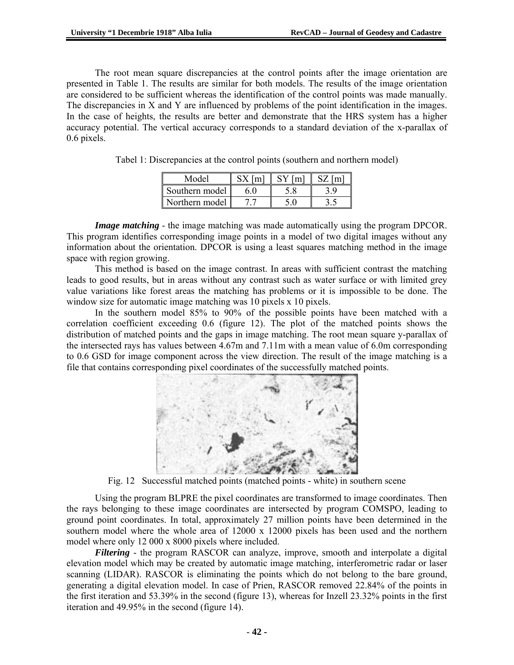The root mean square discrepancies at the control points after the image orientation are presented in Table 1. The results are similar for both models. The results of the image orientation are considered to be sufficient whereas the identification of the control points was made manually. The discrepancies in X and Y are influenced by problems of the point identification in the images. In the case of heights, the results are better and demonstrate that the HRS system has a higher accuracy potential. The vertical accuracy corresponds to a standard deviation of the x-parallax of 0.6 pixels.

| Model          |  |  |
|----------------|--|--|
| Southern model |  |  |
| Northern model |  |  |

Tabel 1: Discrepancies at the control points (southern and northern model)

*Image matching* - the image matching was made automatically using the program DPCOR. This program identifies corresponding image points in a model of two digital images without any information about the orientation. DPCOR is using a least squares matching method in the image space with region growing.

This method is based on the image contrast. In areas with sufficient contrast the matching leads to good results, but in areas without any contrast such as water surface or with limited grey value variations like forest areas the matching has problems or it is impossible to be done. The window size for automatic image matching was 10 pixels x 10 pixels.

In the southern model 85% to 90% of the possible points have been matched with a correlation coefficient exceeding 0.6 (figure 12). The plot of the matched points shows the distribution of matched points and the gaps in image matching. The root mean square y-parallax of the intersected rays has values between 4.67m and 7.11m with a mean value of 6.0m corresponding to 0.6 GSD for image component across the view direction. The result of the image matching is a file that contains corresponding pixel coordinates of the successfully matched points.



Fig. 12 Successful matched points (matched points - white) in southern scene

Using the program BLPRE the pixel coordinates are transformed to image coordinates. Then the rays belonging to these image coordinates are intersected by program COMSPO, leading to ground point coordinates. In total, approximately 27 million points have been determined in the southern model where the whole area of  $12000 \times 12000$  pixels has been used and the northern model where only 12 000 x 8000 pixels where included.

*Filtering* - the program RASCOR can analyze, improve, smooth and interpolate a digital elevation model which may be created by automatic image matching, interferometric radar or laser scanning (LIDAR). RASCOR is eliminating the points which do not belong to the bare ground, generating a digital elevation model. In case of Prien, RASCOR removed 22.84% of the points in the first iteration and 53.39% in the second (figure 13), whereas for Inzell 23.32% points in the first iteration and 49.95% in the second (figure 14).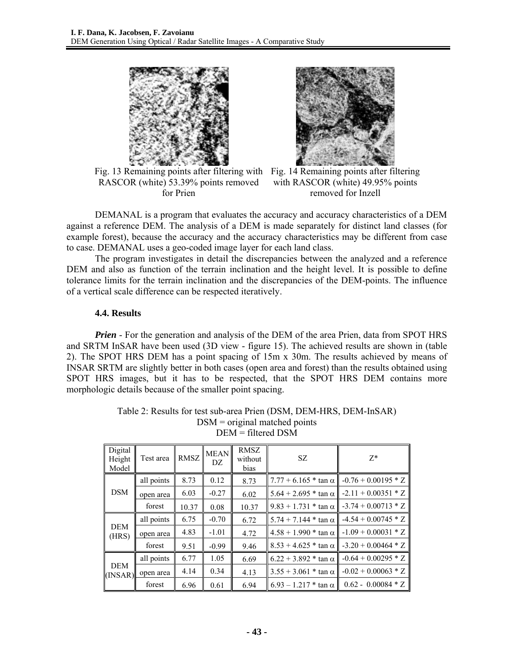

Fig. 13 Remaining points after filtering with Fig. 14 Remaining points after filtering RASCOR (white) 53.39% points removed for Prien



with RASCOR (white) 49.95% points removed for Inzell

DEMANAL is a program that evaluates the accuracy and accuracy characteristics of a DEM against a reference DEM. The analysis of a DEM is made separately for distinct land classes (for example forest), because the accuracy and the accuracy characteristics may be different from case to case. DEMANAL uses a geo-coded image layer for each land class.

The program investigates in detail the discrepancies between the analyzed and a reference DEM and also as function of the terrain inclination and the height level. It is possible to define tolerance limits for the terrain inclination and the discrepancies of the DEM-points. The influence of a vertical scale difference can be respected iteratively.

#### **4.4. Results**

*Prien* - For the generation and analysis of the DEM of the area Prien, data from SPOT HRS and SRTM InSAR have been used (3D view - figure 15). The achieved results are shown in (table 2). The SPOT HRS DEM has a point spacing of 15m x 30m. The results achieved by means of INSAR SRTM are slightly better in both cases (open area and forest) than the results obtained using SPOT HRS images, but it has to be respected, that the SPOT HRS DEM contains more morphologic details because of the smaller point spacing.

|                       | Digital<br>Height<br>Model | Test area  | <b>RMSZ</b> | <b>MEAN</b><br>DZ | <b>RMSZ</b><br>without<br>bias | SZ.                           | $7*$                  |
|-----------------------|----------------------------|------------|-------------|-------------------|--------------------------------|-------------------------------|-----------------------|
|                       |                            | all points | 8.73        | 0.12              | 8.73                           | $7.77 + 6.165 * \tan \alpha$  | $-0.76 + 0.00195 * Z$ |
|                       | <b>DSM</b>                 | open area  | 6.03        | $-0.27$           | 6.02                           | $5.64 + 2.695$ * tan $\alpha$ | $-2.11 + 0.00351 * Z$ |
|                       |                            | forest     | 10.37       | 0.08              | 10.37                          | $9.83 + 1.731$ * tan $\alpha$ | $-3.74 + 0.00713 * Z$ |
|                       |                            | all points | 6.75        | $-0.70$           | 6.72                           | $5.74 + 7.144$ * tan $\alpha$ | $-4.54 + 0.00745 * Z$ |
| <b>DEM</b><br>(HRS)   | open area                  | 4.83       | $-1.01$     | 4.72              | $4.58 + 1.990$ * tan $\alpha$  | $-1.09 + 0.00031 * Z$         |                       |
|                       |                            | forest     | 9.51        | $-0.99$           | 9.46                           | $8.53 + 4.625$ * tan $\alpha$ | $-3.20 + 0.00464 * Z$ |
|                       |                            | all points | 6.77        | 1.05              | 6.69                           | $6.22 + 3.892 * \tan \alpha$  | $-0.64 + 0.00295 * Z$ |
| <b>DEM</b><br>(INSAR) |                            | open area  | 4.14        | 0.34              | 4.13                           | $3.55 + 3.061$ * tan $\alpha$ | $-0.02 + 0.00063 * Z$ |
|                       | forest                     | 6.96       | 0.61        | 6.94              | $6.93 - 1.217$ * tan $\alpha$  | $0.62 - 0.00084 * Z$          |                       |

Table 2: Results for test sub-area Prien (DSM, DEM-HRS, DEM-InSAR) DSM = original matched points DEM = filtered DSM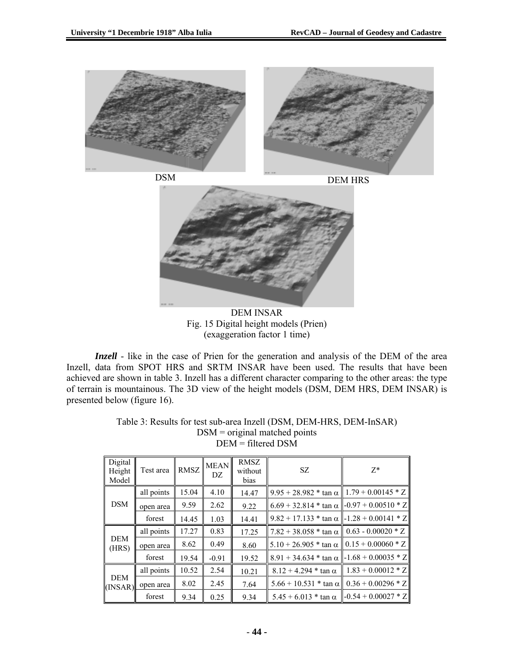



DEM INSAR Fig. 15 Digital height models (Prien) (exaggeration factor 1 time)

*Inzell* - like in the case of Prien for the generation and analysis of the DEM of the area Inzell, data from SPOT HRS and SRTM INSAR have been used. The results that have been achieved are shown in table 3. Inzell has a different character comparing to the other areas: the type of terrain is mountainous. The 3D view of the height models (DSM, DEM HRS, DEM INSAR) is presented below (figure 16).

| Digital<br>Height<br>Model | Test area  | <b>RMSZ</b> | <b>MEAN</b><br>DZ | <b>RMSZ</b><br>without<br>bias | SZ.                                                         | $Z^*$                              |
|----------------------------|------------|-------------|-------------------|--------------------------------|-------------------------------------------------------------|------------------------------------|
| <b>DSM</b>                 | all points | 15.04       | 4.10              | 14.47                          | $9.95 + 28.982 * \tan \alpha \parallel 1.79 + 0.00145 * Z$  |                                    |
|                            | open area  | 9.59        | 2.62              | 9.22                           | $6.69 + 32.814 * \tan \alpha \parallel -0.97 + 0.00510 * Z$ |                                    |
|                            | forest     | 14.45       | 1.03              | 14.41                          | $9.82 + 17.133$ * tan $\alpha$   -1.28 + 0.00141 * Z        |                                    |
| <b>DEM</b><br>(HRS)        | all points | 17.27       | 0.83              | 17.25                          | $7.82 + 38.058 * \tan \alpha \parallel 0.63 - 0.00020 * Z$  |                                    |
|                            | open area  | 8.62        | 0.49              | 8.60                           | 5.10 + 26.905 $*$ tan $\alpha$   0.15 + 0.00060 $*$ Z       |                                    |
|                            | forest     | 19.54       | $-0.91$           | 19.52                          | $8.91 + 34.634 * \tan \alpha$ - 1.68 + 0.00035 * Z          |                                    |
| <b>DEM</b><br>(INSAR)      | all points | 10.52       | 2.54              | 10.21                          | $8.12 + 4.294 * \tan \alpha$                                | $1.83 + 0.00012 * Z$               |
|                            | open area  | 8.02        | 2.45              | 7.64                           | $5.66 + 10.531$ * tan $\alpha$                              | $0.36 + 0.00296 * Z$               |
|                            | forest     | 9.34        | 0.25              | 9.34                           | $5.45 + 6.013 * \tan \alpha$                                | $\left[-0.54 + 0.00027 * Z\right]$ |

Table 3: Results for test sub-area Inzell (DSM, DEM-HRS, DEM-InSAR)  $DSM =$  original matched points DEM = filtered DSM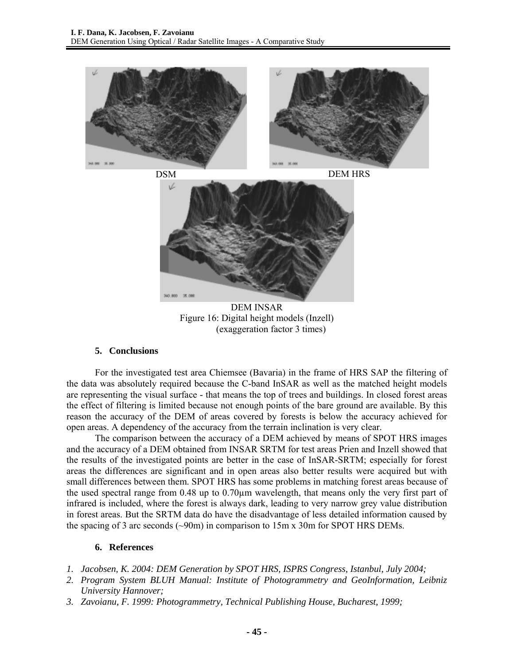

DEM INSAR Figure 16: Digital height models (Inzell) (exaggeration factor 3 times)

# **5. Conclusions**

For the investigated test area Chiemsee (Bavaria) in the frame of HRS SAP the filtering of the data was absolutely required because the C-band InSAR as well as the matched height models are representing the visual surface - that means the top of trees and buildings. In closed forest areas the effect of filtering is limited because not enough points of the bare ground are available. By this reason the accuracy of the DEM of areas covered by forests is below the accuracy achieved for open areas. A dependency of the accuracy from the terrain inclination is very clear.

The comparison between the accuracy of a DEM achieved by means of SPOT HRS images and the accuracy of a DEM obtained from INSAR SRTM for test areas Prien and Inzell showed that the results of the investigated points are better in the case of InSAR-SRTM; especially for forest areas the differences are significant and in open areas also better results were acquired but with small differences between them. SPOT HRS has some problems in matching forest areas because of the used spectral range from 0.48 up to 0.70µm wavelength, that means only the very first part of infrared is included, where the forest is always dark, leading to very narrow grey value distribution in forest areas. But the SRTM data do have the disadvantage of less detailed information caused by the spacing of 3 arc seconds (~90m) in comparison to 15m x 30m for SPOT HRS DEMs.

# **6. References**

- *1. Jacobsen, K. 2004: DEM Generation by SPOT HRS, ISPRS Congress, Istanbul, July 2004;*
- *2. Program System BLUH Manual: Institute of Photogrammetry and GeoInformation, Leibniz University Hannover;*
- *3. Zavoianu, F. 1999: Photogrammetry, Technical Publishing House, Bucharest, 1999;*